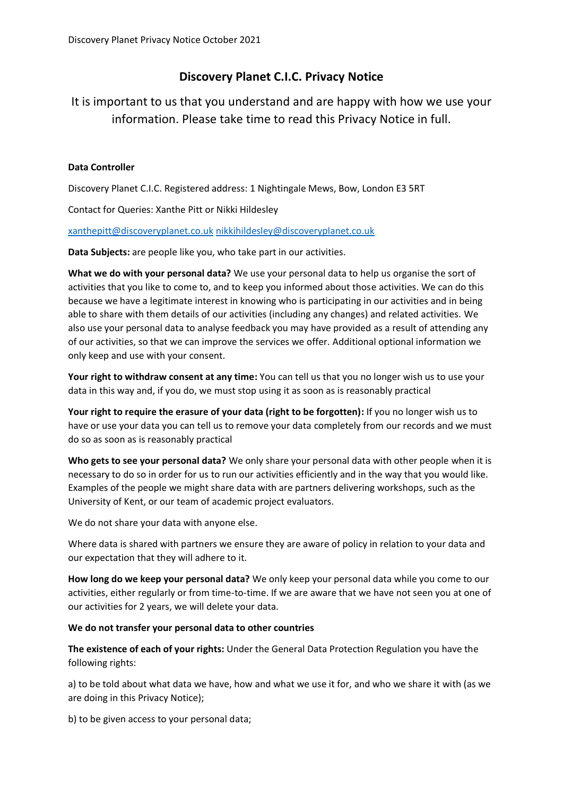## **Discovery Planet C.I.C. Privacy Notice**

It is important to us that you understand and are happy with how we use your information. Please take time to read this Privacy Notice in full.

## **Data Controller**

Discovery Planet C.I.C. Registered address: 1 Nightingale Mews, Bow, London E3 5RT

Contact for Queries: Xanthe Pitt or Nikki Hildesley

[xanthepitt@discoveryplanet.co.uk](mailto:xanthepitt@discoveryplanet.co.uk) [nikkihildesley@discoveryplanet.co.uk](mailto:nikkihildesley@discoveryplanet.co.uk)

**Data Subjects:** are people like you, who take part in our activities.

**What we do with your personal data?** We use your personal data to help us organise the sort of activities that you like to come to, and to keep you informed about those activities. We can do this because we have a legitimate interest in knowing who is participating in our activities and in being able to share with them details of our activities (including any changes) and related activities. We also use your personal data to analyse feedback you may have provided as a result of attending any of our activities, so that we can improve the services we offer. Additional optional information we only keep and use with your consent.

**Your right to withdraw consent at any time:** You can tell us that you no longer wish us to use your data in this way and, if you do, we must stop using it as soon as is reasonably practical

**Your right to require the erasure of your data (right to be forgotten):** If you no longer wish us to have or use your data you can tell us to remove your data completely from our records and we must do so as soon as is reasonably practical

**Who gets to see your personal data?** We only share your personal data with other people when it is necessary to do so in order for us to run our activities efficiently and in the way that you would like. Examples of the people we might share data with are partners delivering workshops, such as the University of Kent, or our team of academic project evaluators.

We do not share your data with anyone else.

Where data is shared with partners we ensure they are aware of policy in relation to your data and our expectation that they will adhere to it.

**How long do we keep your personal data?** We only keep your personal data while you come to our activities, either regularly or from time-to-time. If we are aware that we have not seen you at one of our activities for 2 years, we will delete your data.

## **We do not transfer your personal data to other countries**

**The existence of each of your rights:** Under the General Data Protection Regulation you have the following rights:

a) to be told about what data we have, how and what we use it for, and who we share it with (as we are doing in this Privacy Notice);

b) to be given access to your personal data;